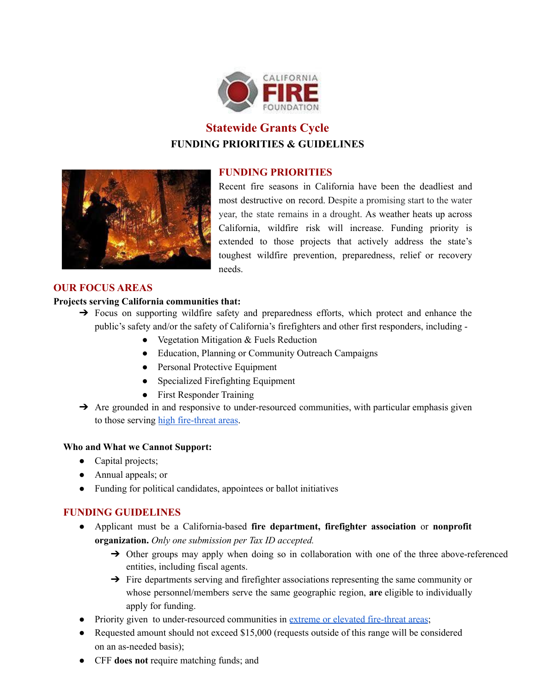

# **Statewide Grants Cycle FUNDING PRIORITIES & GUIDELINES**

# **FUNDING PRIORITIES**



Recent fire seasons in California have been the deadliest and most destructive on record. Despite a promising start to the water year, the state remains in a drought. As weather heats up across California, wildfire risk will increase. Funding priority is extended to those projects that actively address the state's toughest wildfire prevention, preparedness, relief or recovery needs.

# **OUR FOCUS AREAS**

## **Projects serving California communities that:**

- → Focus on supporting wildfire safety and preparedness efforts, which protect and enhance the public's safety and/or the safety of California's firefighters and other first responders, including -
	- Vegetation Mitigation & Fuels Reduction
	- Education, Planning or Community Outreach Campaigns
	- Personal Protective Equipment
	- Specialized Firefighting Equipment
	- First Responder Training
- $\rightarrow$  Are grounded in and responsive to under-resourced communities, with particular emphasis given to those serving high [fire-threat](https://www.cafirefoundation.org/cms/assets/uploads/2022/01/Fire-Threat-by-County.pdf) areas.

#### **Who and What we Cannot Support:**

- Capital projects;
- Annual appeals; or
- Funding for political candidates, appointees or ballot initiatives

# **FUNDING GUIDELINES**

- Applicant must be a California-based **fire department, firefighter association** or **nonprofit organization.** *Only one submission per Tax ID accepted.*
	- → Other groups may apply when doing so in collaboration with one of the three above-referenced entities, including fiscal agents.
	- → Fire departments serving and firefighter associations representing the same community or whose personnel/members serve the same geographic region, **are** eligible to individually apply for funding.
- Priority given to under-resourced communities in <u>extreme or elevated [fire-threat](https://www.cafirefoundation.org/cms/assets/uploads/2022/01/Fire-Threat-by-County.pdf) areas</u>;
- Requested amount should not exceed \$15,000 (requests outside of this range will be considered on an as-needed basis);
- CFF **does not** require matching funds; and